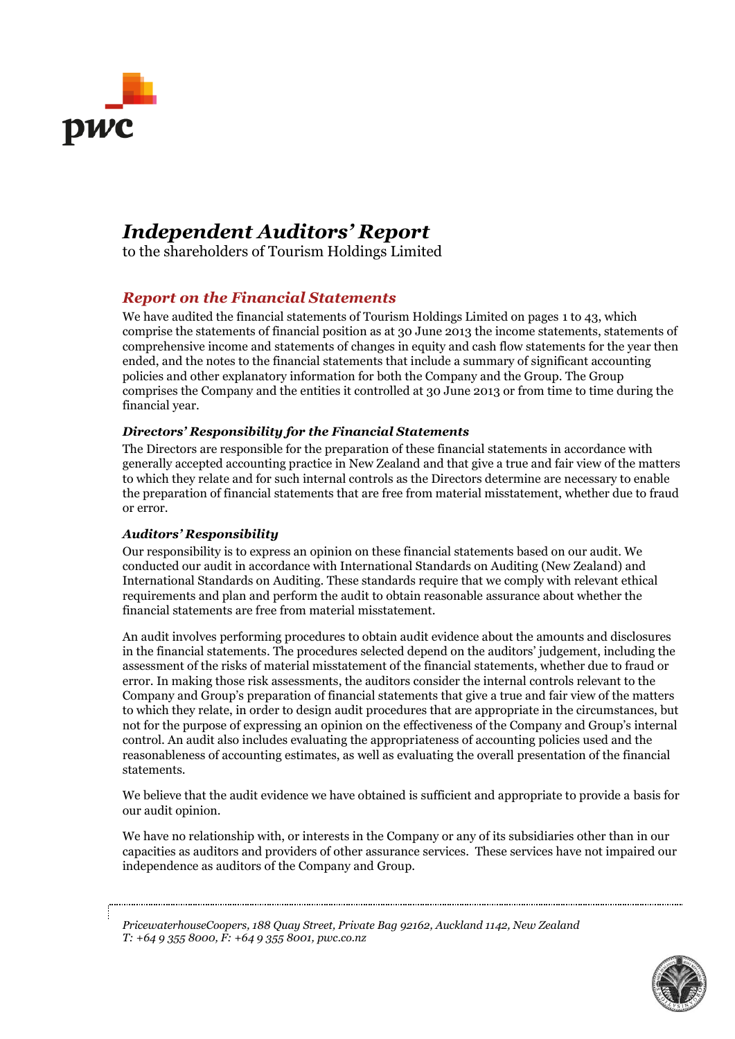

# *Independent Auditors' Report*

to the shareholders of Tourism Holdings Limited

### *Report on the Financial Statements*

We have audited the financial statements of Tourism Holdings Limited on pages 1 to 43, which comprise the statements of financial position as at 30 June 2013 the income statements, statements of comprehensive income and statements of changes in equity and cash flow statements for the year then ended, and the notes to the financial statements that include a summary of significant accounting policies and other explanatory information for both the Company and the Group. The Group comprises the Company and the entities it controlled at 30 June 2013 or from time to time during the financial year.

### *Directors' Responsibility for the Financial Statements*

The Directors are responsible for the preparation of these financial statements in accordance with generally accepted accounting practice in New Zealand and that give a true and fair view of the matters to which they relate and for such internal controls as the Directors determine are necessary to enable the preparation of financial statements that are free from material misstatement, whether due to fraud or error.

### *Auditors' Responsibility*

Our responsibility is to express an opinion on these financial statements based on our audit. We conducted our audit in accordance with International Standards on Auditing (New Zealand) and International Standards on Auditing. These standards require that we comply with relevant ethical requirements and plan and perform the audit to obtain reasonable assurance about whether the financial statements are free from material misstatement.

An audit involves performing procedures to obtain audit evidence about the amounts and disclosures in the financial statements. The procedures selected depend on the auditors' judgement, including the assessment of the risks of material misstatement of the financial statements, whether due to fraud or error. In making those risk assessments, the auditors consider the internal controls relevant to the Company and Group's preparation of financial statements that give a true and fair view of the matters to which they relate, in order to design audit procedures that are appropriate in the circumstances, but not for the purpose of expressing an opinion on the effectiveness of the Company and Group's internal control. An audit also includes evaluating the appropriateness of accounting policies used and the reasonableness of accounting estimates, as well as evaluating the overall presentation of the financial statements.

We believe that the audit evidence we have obtained is sufficient and appropriate to provide a basis for our audit opinion.

We have no relationship with, or interests in the Company or any of its subsidiaries other than in our capacities as auditors and providers of other assurance services. These services have not impaired our independence as auditors of the Company and Group.

*PricewaterhouseCoopers, 188 Quay Street, Private Bag 92162, Auckland 1142, New Zealand T: +64 9 355 8000, F: +64 9 355 8001, pwc.co.nz*